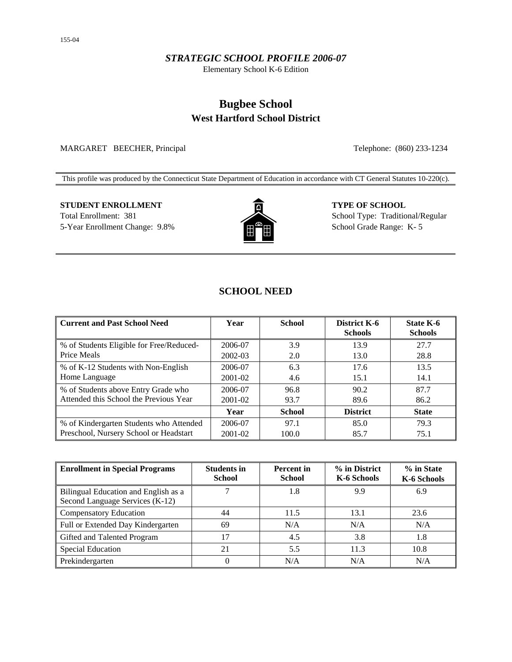#### *STRATEGIC SCHOOL PROFILE 2006-07*

Elementary School K-6 Edition

## **Bugbee School West Hartford School District**

MARGARET BEECHER, Principal Telephone: (860) 233-1234

This profile was produced by the Connecticut State Department of Education in accordance with CT General Statutes 10-220(c).

# **STUDENT ENROLLMENT TYPE OF SCHOOL**



Total Enrollment: 381 School Type: Traditional/Regular 5-Year Enrollment Change: 9.8% **School Grade Range: K-5** School Grade Range: K-5

## **SCHOOL NEED**

| <b>Current and Past School Need</b>      | Year    | <b>School</b> | District K-6<br><b>Schools</b> | State K-6<br><b>Schools</b> |
|------------------------------------------|---------|---------------|--------------------------------|-----------------------------|
| % of Students Eligible for Free/Reduced- | 2006-07 | 3.9           | 13.9                           | 27.7                        |
| Price Meals                              | 2002-03 | 2.0           | 13.0                           | 28.8                        |
| % of K-12 Students with Non-English      | 2006-07 | 6.3           | 17.6                           | 13.5                        |
| Home Language                            | 2001-02 | 4.6           | 15.1                           | 14.1                        |
| % of Students above Entry Grade who      | 2006-07 | 96.8          | 90.2                           | 87.7                        |
| Attended this School the Previous Year   | 2001-02 | 93.7          | 89.6                           | 86.2                        |
|                                          | Year    | <b>School</b> | <b>District</b>                | <b>State</b>                |
| % of Kindergarten Students who Attended  | 2006-07 | 97.1          | 85.0                           | 79.3                        |
| Preschool, Nursery School or Headstart   | 2001-02 | 100.0         | 85.7                           | 75.1                        |

| <b>Enrollment in Special Programs</b>                                   | <b>Students in</b><br><b>School</b> | <b>Percent</b> in<br><b>School</b> | % in District<br>K-6 Schools | % in State<br>K-6 Schools |
|-------------------------------------------------------------------------|-------------------------------------|------------------------------------|------------------------------|---------------------------|
| Bilingual Education and English as a<br>Second Language Services (K-12) |                                     | 1.8                                | 9.9                          | 6.9                       |
| <b>Compensatory Education</b>                                           | 44                                  | 11.5                               | 13.1                         | 23.6                      |
| Full or Extended Day Kindergarten                                       | 69                                  | N/A                                | N/A                          | N/A                       |
| Gifted and Talented Program                                             | 17                                  | 4.5                                | 3.8                          | 1.8                       |
| Special Education                                                       | 21                                  | 5.5                                | 11.3                         | 10.8                      |
| Prekindergarten                                                         | 0                                   | N/A                                | N/A                          | N/A                       |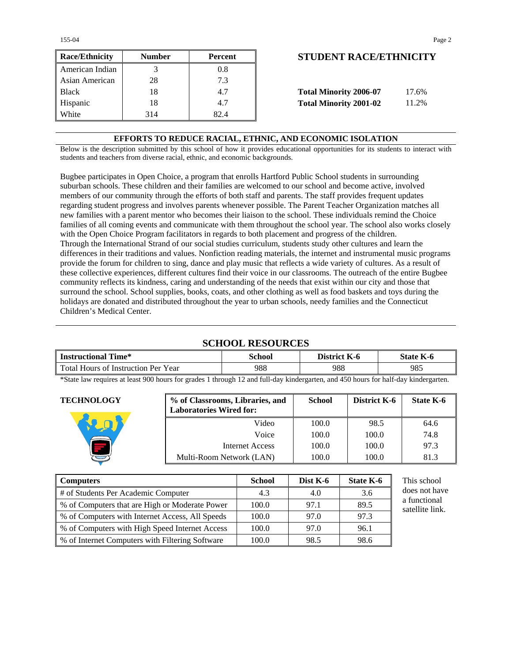| <b>Race/Ethnicity</b> | <b>Number</b> | Percent | <b>STUDENT RACE/ETHNICIT</b>           |
|-----------------------|---------------|---------|----------------------------------------|
| American Indian       |               | $0.8\,$ |                                        |
| Asian American        | 28            | 7.3     |                                        |
| <b>Black</b>          | 18            | 4.7     | <b>Total Minority 2006-07</b><br>17.6% |
| Hispanic              | 18            | 4.7     | <b>Total Minority 2001-02</b><br>11.2% |
| White                 | 314           | 82.4    |                                        |

## **Race/Ethnicity Number Percent STUDENT RACE/ETHNICITY**

| <b>Total Minority 2006-07</b> | 17.6% |
|-------------------------------|-------|
| <b>Total Minority 2001-02</b> | 11.2% |

#### **EFFORTS TO REDUCE RACIAL, ETHNIC, AND ECONOMIC ISOLATION**

Below is the description submitted by this school of how it provides educational opportunities for its students to interact with students and teachers from diverse racial, ethnic, and economic backgrounds.

Bugbee participates in Open Choice, a program that enrolls Hartford Public School students in surrounding suburban schools. These children and their families are welcomed to our school and become active, involved members of our community through the efforts of both staff and parents. The staff provides frequent updates regarding student progress and involves parents whenever possible. The Parent Teacher Organization matches all new families with a parent mentor who becomes their liaison to the school. These individuals remind the Choice families of all coming events and communicate with them throughout the school year. The school also works closely with the Open Choice Program facilitators in regards to both placement and progress of the children. Through the International Strand of our social studies curriculum, students study other cultures and learn the differences in their traditions and values. Nonfiction reading materials, the internet and instrumental music programs provide the forum for children to sing, dance and play music that reflects a wide variety of cultures. As a result of these collective experiences, different cultures find their voice in our classrooms. The outreach of the entire Bugbee community reflects its kindness, caring and understanding of the needs that exist within our city and those that surround the school. School supplies, books, coats, and other clothing as well as food baskets and toys during the holidays are donated and distributed throughout the year to urban schools, needy families and the Connecticut Children's Medical Center.

## **SCHOOL RESOURCES**

| Time*<br><b>Instructional T</b>     | School | District K-6 | State K-6 |
|-------------------------------------|--------|--------------|-----------|
| Total Hours of Instruction Per Year | 988    | 988          | 985       |

\*State law requires at least 900 hours for grades 1 through 12 and full-day kindergarten, and 450 hours for half-day kindergarten.

#### $TECHNOLOGY$

| % of Classrooms, Libraries, and<br><b>Laboratories Wired for:</b> | School | District K-6 | State K-6 |
|-------------------------------------------------------------------|--------|--------------|-----------|
| Video                                                             | 100.0  | 98.5         | 64.6      |
| Voice                                                             | 100.0  | 100.0        | 74.8      |
| Internet Access                                                   | 100.0  | 100.0        | 97.3      |
| Multi-Room Network (LAN)                                          | 100.0  | 100.0        | 81.3      |

| <b>Computers</b>                                | <b>School</b> | Dist K-6 | State K-6 |
|-------------------------------------------------|---------------|----------|-----------|
| # of Students Per Academic Computer             | 4.3           | 4.0      | 3.6       |
| % of Computers that are High or Moderate Power  | 100.0         | 97.1     | 89.5      |
| % of Computers with Internet Access, All Speeds | 100.0         | 97.0     | 97.3      |
| % of Computers with High Speed Internet Access  | 100.0         | 97.0     | 96.1      |
| % of Internet Computers with Filtering Software | 100.0         | 98.5     | 98.6      |

his school oes not have functional satellite link.

155-04 Page 2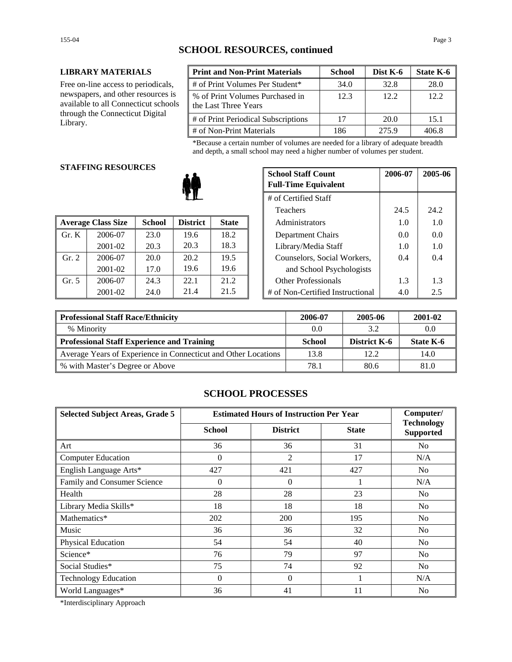## **SCHOOL RESOURCES, continued**

#### **LIBRARY MATERIALS**

Free on-line access to periodicals, newspapers, and other resources is available to all Connecticut schools through the Connecticut Digital Library.

| <b>Print and Non-Print Materials</b>                    | <b>School</b> | Dist K-6 | State K-6 |
|---------------------------------------------------------|---------------|----------|-----------|
| # of Print Volumes Per Student*                         | 34.0          | 32.8     | 28.0      |
| % of Print Volumes Purchased in<br>the Last Three Years | 12.3          | 12.2     | 12.2.     |
| # of Print Periodical Subscriptions                     | 17            | 20.0     | 15.1      |
| # of Non-Print Materials                                | 186           | 275.9    | 406.8     |

\*Because a certain number of volumes are needed for a library of adequate breadth and depth, a small school may need a higher number of volumes per student.

#### **STAFFING RESOURCES**

|       |                           |               |                 |              | 1 <u>cach</u> olo                |     | -             |
|-------|---------------------------|---------------|-----------------|--------------|----------------------------------|-----|---------------|
|       | <b>Average Class Size</b> | <b>School</b> | <b>District</b> | <b>State</b> | Administrators                   | 1.0 | 1.0           |
| Gr. K | 2006-07                   | 23.0          | 19.6            | 18.2         | Department Chairs                | 0.0 | 0.0           |
|       | 2001-02                   | 20.3          | 20.3            | 18.3         | Library/Media Staff              | 1.0 | 1.0           |
| Gr. 2 | 2006-07                   | 20.0          | 20.2            | 19.5         | Counselors, Social Workers,      | 0.4 | 0.4           |
|       | 2001-02                   | 17.0          | 19.6            | 19.6         | and School Psychologists         |     |               |
| Gr. 5 | 2006-07                   | 24.3          | 22.1            | 21.2         | <b>Other Professionals</b>       | 1.3 | 1.3           |
|       | 2001-02                   | 24.0          | 21.4            | 21.5         | # of Non-Certified Instructional | 4.0 | $2.5^{\circ}$ |

| G KESOUKUES |               |                 |              | <b>School Staff Count</b><br><b>Full-Time Equivalent</b> | 2006-07 | 2005-06 |
|-------------|---------------|-----------------|--------------|----------------------------------------------------------|---------|---------|
|             |               |                 |              | # of Certified Staff                                     |         |         |
|             |               |                 |              | Teachers                                                 | 24.5    | 24.2    |
| 'lass Size  | <b>School</b> | <b>District</b> | <b>State</b> | Administrators                                           | 1.0     | 1.0     |
| 2006-07     | 23.0          | 19.6            | 18.2         | Department Chairs                                        | 0.0     | 0.0     |
| 2001-02     | 20.3          | 20.3            | 18.3         | Library/Media Staff                                      | 1.0     | 1.0     |
| 2006-07     | 20.0          | 20.2            | 19.5         | Counselors, Social Workers,                              | 0.4     | 0.4     |
| 2001-02     | 17.0          | 19.6            | 19.6         | and School Psychologists                                 |         |         |
| 2006-07     | 24.3          | 22.1            | 21.2         | <b>Other Professionals</b>                               | 1.3     | 1.3     |
| 2001-02     | 24.0          | 21.4            | 21.5         | # of Non-Certified Instructional                         | 4.0     | 2.5     |

| Professional Staff Race/Ethnicity                              | 2006-07       | 2005-06             | 2001-02   |
|----------------------------------------------------------------|---------------|---------------------|-----------|
| % Minority                                                     | 0.0           | 3.2                 | 0.0       |
| Professional Staff Experience and Training                     | <b>School</b> | <b>District K-6</b> | State K-6 |
| Average Years of Experience in Connecticut and Other Locations | 13.8          | 12.2                | 14.0      |
| ■ % with Master's Degree or Above                              | 78.1          | 80.6                | 81.0      |

## **SCHOOL PROCESSES**

| <b>Selected Subject Areas, Grade 5</b> | <b>Estimated Hours of Instruction Per Year</b> |                 |              | Computer/                             |
|----------------------------------------|------------------------------------------------|-----------------|--------------|---------------------------------------|
|                                        | <b>School</b>                                  | <b>District</b> | <b>State</b> | <b>Technology</b><br><b>Supported</b> |
| Art                                    | 36                                             | 36              | 31           | No                                    |
| <b>Computer Education</b>              | $\Omega$                                       | $\overline{2}$  | 17           | N/A                                   |
| English Language Arts*                 | 427                                            | 421             | 427          | N <sub>0</sub>                        |
| Family and Consumer Science            | $\theta$                                       | $\overline{0}$  |              | N/A                                   |
| Health                                 | 28                                             | 28              | 23           | No                                    |
| Library Media Skills*                  | 18                                             | 18              | 18           | N <sub>0</sub>                        |
| Mathematics*                           | 202                                            | 200             | 195          | No                                    |
| Music                                  | 36                                             | 36              | 32           | No                                    |
| Physical Education                     | 54                                             | 54              | 40           | No                                    |
| Science*                               | 76                                             | 79              | 97           | N <sub>0</sub>                        |
| Social Studies*                        | 75                                             | 74              | 92           | No                                    |
| <b>Technology Education</b>            | $\Omega$                                       | $\Omega$        |              | N/A                                   |
| World Languages*                       | 36                                             | 41              | 11           | N <sub>0</sub>                        |

\*Interdisciplinary Approach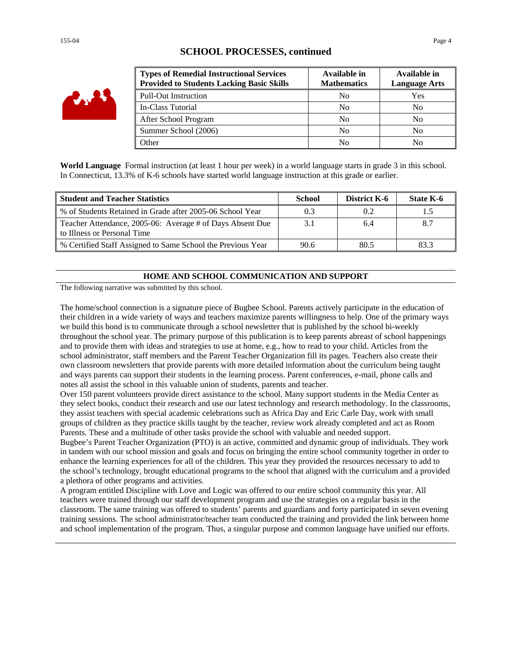| TA W |
|------|
|------|

## **SCHOOL PROCESSES, continued**

| <b>Types of Remedial Instructional Services</b><br><b>Provided to Students Lacking Basic Skills</b> | Available in<br><b>Mathematics</b> | Available in<br><b>Language Arts</b> |
|-----------------------------------------------------------------------------------------------------|------------------------------------|--------------------------------------|
| <b>Pull-Out Instruction</b>                                                                         | N <sub>0</sub>                     | Yes                                  |
| In-Class Tutorial                                                                                   | N <sub>0</sub>                     | No                                   |
| After School Program                                                                                | No                                 | No                                   |
| Summer School (2006)                                                                                | N <sub>0</sub>                     | No                                   |
| <b>Other</b>                                                                                        | No                                 | N <sub>0</sub>                       |

**World Language** Formal instruction (at least 1 hour per week) in a world language starts in grade 3 in this school. In Connecticut, 13.3% of K-6 schools have started world language instruction at this grade or earlier.

| <b>Student and Teacher Statistics</b>                                                    | School | District K-6 | State K-6 |
|------------------------------------------------------------------------------------------|--------|--------------|-----------|
| % of Students Retained in Grade after 2005-06 School Year                                | 0.3    | 0.2          |           |
| Teacher Attendance, 2005-06: Average # of Days Absent Due<br>to Illness or Personal Time | 3.1    | 6.4          |           |
| % Certified Staff Assigned to Same School the Previous Year                              | 90.6   | 80.5         | 83.3      |

#### **HOME AND SCHOOL COMMUNICATION AND SUPPORT**

The following narrative was submitted by this school.

The home/school connection is a signature piece of Bugbee School. Parents actively participate in the education of their children in a wide variety of ways and teachers maximize parents willingness to help. One of the primary ways we build this bond is to communicate through a school newsletter that is published by the school bi-weekly throughout the school year. The primary purpose of this publication is to keep parents abreast of school happenings and to provide them with ideas and strategies to use at home, e.g., how to read to your child. Articles from the school administrator, staff members and the Parent Teacher Organization fill its pages. Teachers also create their own classroom newsletters that provide parents with more detailed information about the curriculum being taught and ways parents can support their students in the learning process. Parent conferences, e-mail, phone calls and notes all assist the school in this valuable union of students, parents and teacher.

Over 150 parent volunteers provide direct assistance to the school. Many support students in the Media Center as they select books, conduct their research and use our latest technology and research methodology. In the classrooms, they assist teachers with special academic celebrations such as Africa Day and Eric Carle Day, work with small groups of children as they practice skills taught by the teacher, review work already completed and act as Room Parents. These and a multitude of other tasks provide the school with valuable and needed support.

Bugbee's Parent Teacher Organization (PTO) is an active, committed and dynamic group of individuals. They work in tandem with our school mission and goals and focus on bringing the entire school community together in order to enhance the learning experiences for all of the children. This year they provided the resources necessary to add to the school's technology, brought educational programs to the school that aligned with the curriculum and a provided a plethora of other programs and activities.

A program entitled Discipline with Love and Logic was offered to our entire school community this year. All teachers were trained through our staff development program and use the strategies on a regular basis in the classroom. The same training was offered to students' parents and guardians and forty participated in seven evening training sessions. The school administrator/teacher team conducted the training and provided the link between home and school implementation of the program. Thus, a singular purpose and common language have unified our efforts.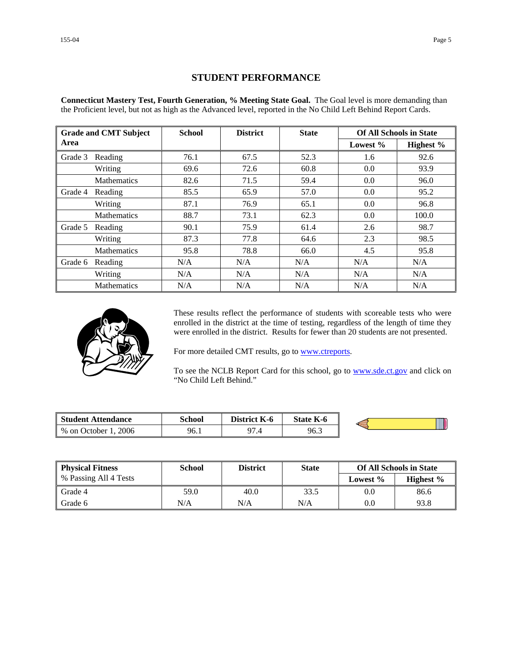## **STUDENT PERFORMANCE**

**Connecticut Mastery Test, Fourth Generation, % Meeting State Goal.** The Goal level is more demanding than the Proficient level, but not as high as the Advanced level, reported in the No Child Left Behind Report Cards.

|         | <b>Grade and CMT Subject</b> | <b>School</b> | <b>District</b> | <b>State</b> |          | <b>Of All Schools in State</b> |
|---------|------------------------------|---------------|-----------------|--------------|----------|--------------------------------|
| Area    |                              |               |                 |              | Lowest % | Highest %                      |
| Grade 3 | Reading                      | 76.1          | 67.5            | 52.3         | 1.6      | 92.6                           |
|         | Writing                      | 69.6          | 72.6            | 60.8         | 0.0      | 93.9                           |
|         | <b>Mathematics</b>           | 82.6          | 71.5            | 59.4         | 0.0      | 96.0                           |
| Grade 4 | Reading                      | 85.5          | 65.9            | 57.0         | 0.0      | 95.2                           |
|         | Writing                      | 87.1          | 76.9            | 65.1         | 0.0      | 96.8                           |
|         | <b>Mathematics</b>           | 88.7          | 73.1            | 62.3         | 0.0      | 100.0                          |
| Grade 5 | Reading                      | 90.1          | 75.9            | 61.4         | 2.6      | 98.7                           |
|         | Writing                      | 87.3          | 77.8            | 64.6         | 2.3      | 98.5                           |
|         | <b>Mathematics</b>           | 95.8          | 78.8            | 66.0         | 4.5      | 95.8                           |
| Grade 6 | Reading                      | N/A           | N/A             | N/A          | N/A      | N/A                            |
|         | Writing                      | N/A           | N/A             | N/A          | N/A      | N/A                            |
|         | <b>Mathematics</b>           | N/A           | N/A             | N/A          | N/A      | N/A                            |



These results reflect the performance of students with scoreable tests who were enrolled in the district at the time of testing, regardless of the length of time they were enrolled in the district. Results for fewer than 20 students are not presented.

For more detailed CMT results, go to **www.ctreports**.

To see the NCLB Report Card for this school, go to **[www.sde.ct.gov](http://www.sde.ct.gov/)** and click on "No Child Left Behind."

| <b>Student Attendance</b>            | School | <b>District</b><br>K-6 | <b>State K-6</b> |  |
|--------------------------------------|--------|------------------------|------------------|--|
| 2006<br>$%$ on $\sqrt{ }$<br>October | 96.1   | 07<br>۰.,              | 96.3             |  |

| <b>Physical Fitness</b> | School | <b>District</b> | <b>State</b> |             | <b>Of All Schools in State</b> |
|-------------------------|--------|-----------------|--------------|-------------|--------------------------------|
| % Passing All 4 Tests   |        |                 |              | Lowest $\%$ | Highest $\%$                   |
| Grade 4                 | 59.0   | 40.0            | 33.5         | 0.0         | 86.6                           |
| Grade 6                 | N/A    | N/A             | N/A          | 0.0         | 93.8                           |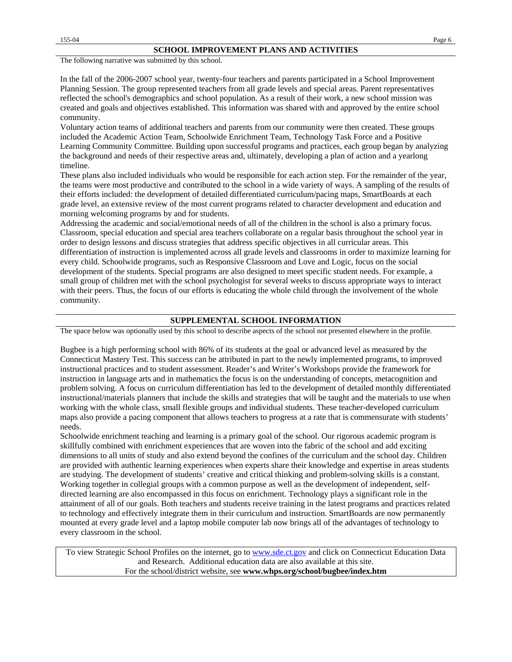The following narrative was submitted by this school.

In the fall of the 2006-2007 school year, twenty-four teachers and parents participated in a School Improvement Planning Session. The group represented teachers from all grade levels and special areas. Parent representatives reflected the school's demographics and school population. As a result of their work, a new school mission was created and goals and objectives established. This information was shared with and approved by the entire school community.

Voluntary action teams of additional teachers and parents from our community were then created. These groups included the Academic Action Team, Schoolwide Enrichment Team, Technology Task Force and a Positive Learning Community Committee. Building upon successful programs and practices, each group began by analyzing the background and needs of their respective areas and, ultimately, developing a plan of action and a yearlong timeline.

These plans also included individuals who would be responsible for each action step. For the remainder of the year, the teams were most productive and contributed to the school in a wide variety of ways. A sampling of the results of their efforts included: the development of detailed differentiated curriculum/pacing maps, SmartBoards at each grade level, an extensive review of the most current programs related to character development and education and morning welcoming programs by and for students.

Addressing the academic and social/emotional needs of all of the children in the school is also a primary focus. Classroom, special education and special area teachers collaborate on a regular basis throughout the school year in order to design lessons and discuss strategies that address specific objectives in all curricular areas. This differentiation of instruction is implemented across all grade levels and classrooms in order to maximize learning for every child. Schoolwide programs, such as Responsive Classroom and Love and Logic, focus on the social development of the students. Special programs are also designed to meet specific student needs. For example, a small group of children met with the school psychologist for several weeks to discuss appropriate ways to interact with their peers. Thus, the focus of our efforts is educating the whole child through the involvement of the whole community.

#### **SUPPLEMENTAL SCHOOL INFORMATION**

The space below was optionally used by this school to describe aspects of the school not presented elsewhere in the profile.

Bugbee is a high performing school with 86% of its students at the goal or advanced level as measured by the Connecticut Mastery Test. This success can be attributed in part to the newly implemented programs, to improved instructional practices and to student assessment. Reader's and Writer's Workshops provide the framework for instruction in language arts and in mathematics the focus is on the understanding of concepts, metacognition and problem solving. A focus on curriculum differentiation has led to the development of detailed monthly differentiated instructional/materials planners that include the skills and strategies that will be taught and the materials to use when working with the whole class, small flexible groups and individual students. These teacher-developed curriculum maps also provide a pacing component that allows teachers to progress at a rate that is commensurate with students' needs.

Schoolwide enrichment teaching and learning is a primary goal of the school. Our rigorous academic program is skillfully combined with enrichment experiences that are woven into the fabric of the school and add exciting dimensions to all units of study and also extend beyond the confines of the curriculum and the school day. Children are provided with authentic learning experiences when experts share their knowledge and expertise in areas students are studying. The development of students' creative and critical thinking and problem-solving skills is a constant. Working together in collegial groups with a common purpose as well as the development of independent, selfdirected learning are also encompassed in this focus on enrichment. Technology plays a significant role in the attainment of all of our goals. Both teachers and students receive training in the latest programs and practices related to technology and effectively integrate them in their curriculum and instruction. SmartBoards are now permanently mounted at every grade level and a laptop mobile computer lab now brings all of the advantages of technology to every classroom in the school.

To view Strategic School Profiles on the internet, go to [www.sde.ct.gov](http://www.sde.ct.gov/) and click on Connecticut Education Data and Research. Additional education data are also available at this site. For the school/district website, see **www.whps.org/school/bugbee/index.htm**